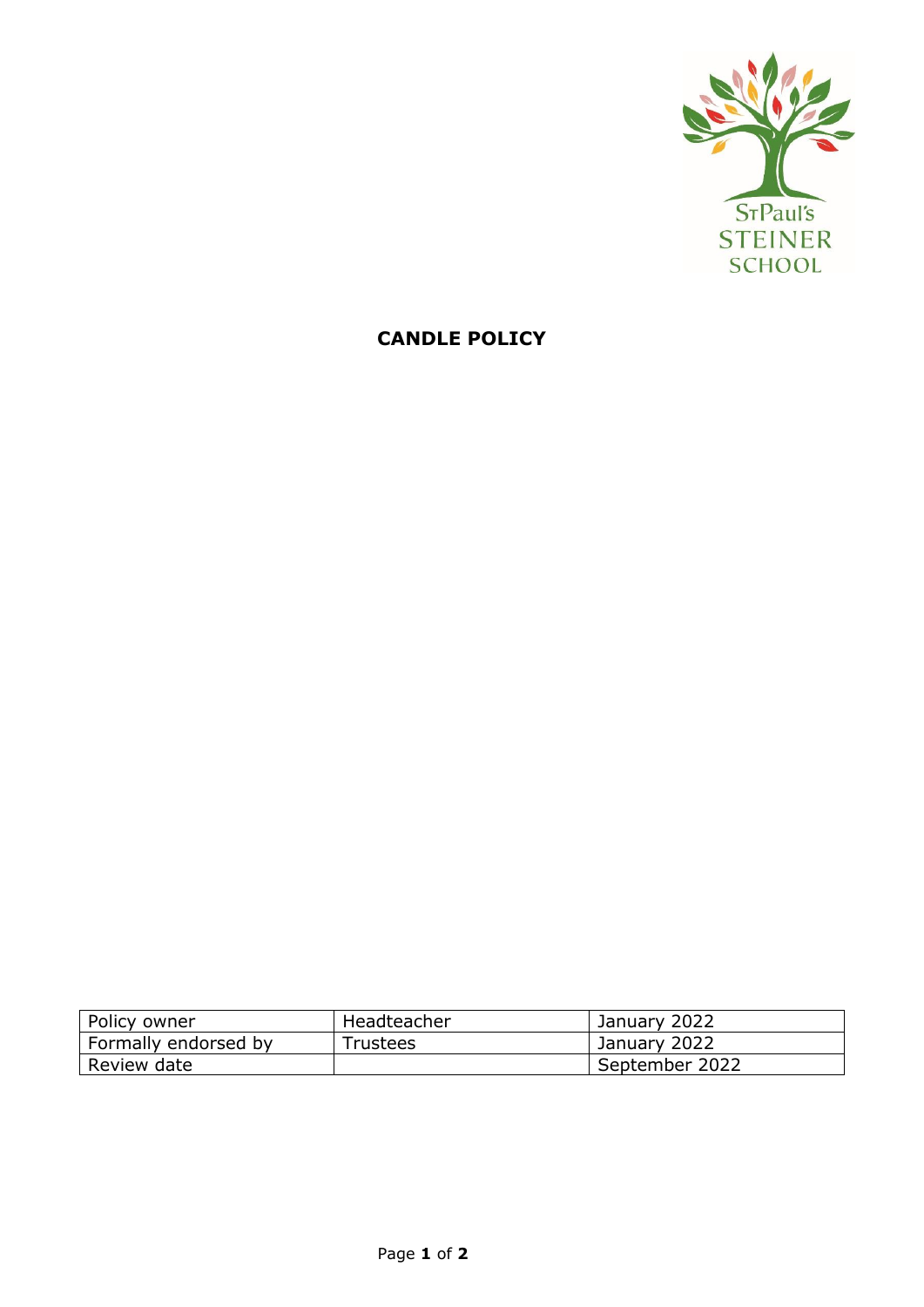

## **CANDLE POLICY**

| Policy owner         | Headteacher | January 2022   |
|----------------------|-------------|----------------|
| Formally endorsed by | Trustees    | January 2022   |
| Review date          |             | September 2022 |